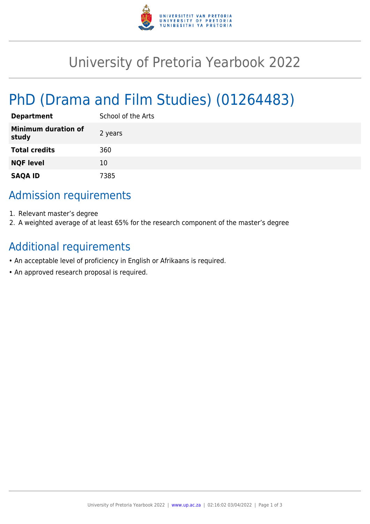

# University of Pretoria Yearbook 2022

# PhD (Drama and Film Studies) (01264483)

| <b>Department</b>                   | School of the Arts |
|-------------------------------------|--------------------|
| <b>Minimum duration of</b><br>study | 2 years            |
| <b>Total credits</b>                | 360                |
| <b>NQF level</b>                    | 10                 |
| <b>SAQA ID</b>                      | 7385               |

## Admission requirements

- 1. Relevant master's degree
- 2. A weighted average of at least 65% for the research component of the master's degree

### Additional requirements

- An acceptable level of proficiency in English or Afrikaans is required.
- An approved research proposal is required.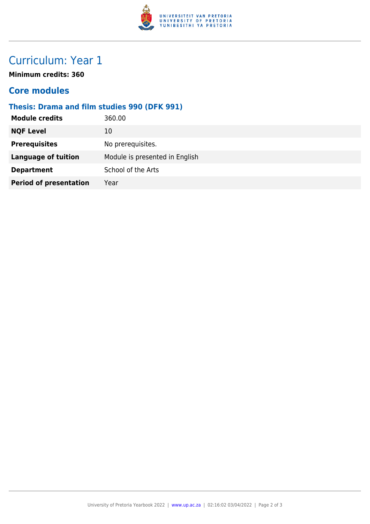

# Curriculum: Year 1

**Minimum credits: 360**

#### **Core modules**

#### **Thesis: Drama and film studies 990 (DFK 991)**

| <b>Module credits</b><br>360.00           |                                |
|-------------------------------------------|--------------------------------|
| <b>NQF Level</b><br>10                    |                                |
| <b>Prerequisites</b><br>No prerequisites. |                                |
| <b>Language of tuition</b>                | Module is presented in English |
| School of the Arts<br><b>Department</b>   |                                |
| <b>Period of presentation</b><br>Year     |                                |